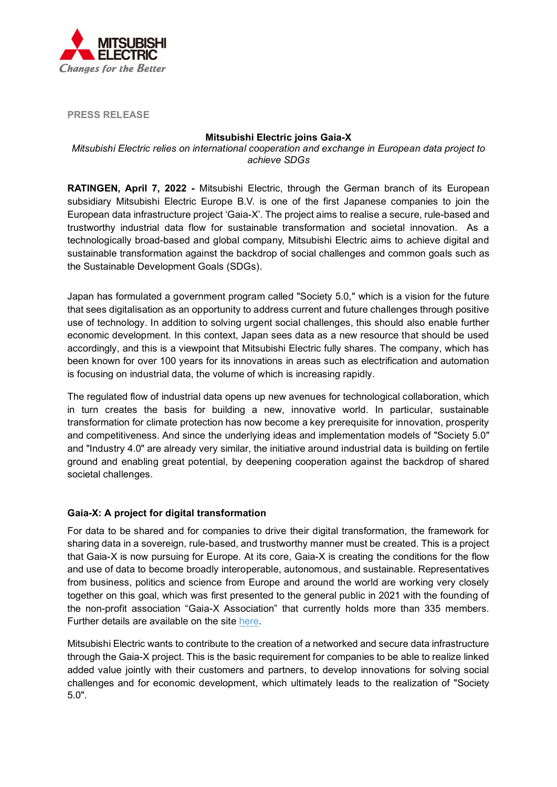

**PRESS RELEASE**

## **Mitsubishi Electric joins Gaia-X**

*Mitsubishi Electric relies on international cooperation and exchange in European data project to achieve SDGs*

**RATINGEN, April 7, 2022 -** Mitsubishi Electric, through the German branch of its European subsidiary Mitsubishi Electric Europe B.V. is one of the first Japanese companies to join the European data infrastructure project 'Gaia-X'. The project aims to realise a secure, rule-based and trustworthy industrial data flow for sustainable transformation and societal innovation. As a technologically broad-based and global company, Mitsubishi Electric aims to achieve digital and sustainable transformation against the backdrop of social challenges and common goals such as the Sustainable Development Goals (SDGs).

Japan has formulated a government program called "Society 5.0," which is a vision for the future that sees digitalisation as an opportunity to address current and future challenges through positive use of technology. In addition to solving urgent social challenges, this should also enable further economic development. In this context, Japan sees data as a new resource that should be used accordingly, and this is a viewpoint that Mitsubishi Electric fully shares. The company, which has been known for over 100 years for its innovations in areas such as electrification and automation is focusing on industrial data, the volume of which is increasing rapidly.

The regulated flow of industrial data opens up new avenues for technological collaboration, which in turn creates the basis for building a new, innovative world. In particular, sustainable transformation for climate protection has now become a key prerequisite for innovation, prosperity and competitiveness. And since the underlying ideas and implementation models of "Society 5.0" and "Industry 4.0" are already very similar, the initiative around industrial data is building on fertile ground and enabling great potential, by deepening cooperation against the backdrop of shared societal challenges.

## **Gaia-X: A project for digital transformation**

For data to be shared and for companies to drive their digital transformation, the framework for sharing data in a sovereign, rule-based, and trustworthy manner must be created. This is a project that Gaia-X is now pursuing for Europe. At its core, Gaia-X is creating the conditions for the flow and use of data to become broadly interoperable, autonomous, and sustainable. Representatives from business, politics and science from Europe and around the world are working very closely together on this goal, which was first presented to the general public in 2021 with the founding of the non-profit association "Gaia-X Association" that currently holds more than 335 members. Further details are available on the site [here.](https://gaia-x.eu/)

Mitsubishi Electric wants to contribute to the creation of a networked and secure data infrastructure through the Gaia-X project. This is the basic requirement for companies to be able to realize linked added value jointly with their customers and partners, to develop innovations for solving social challenges and for economic development, which ultimately leads to the realization of "Society 5.0".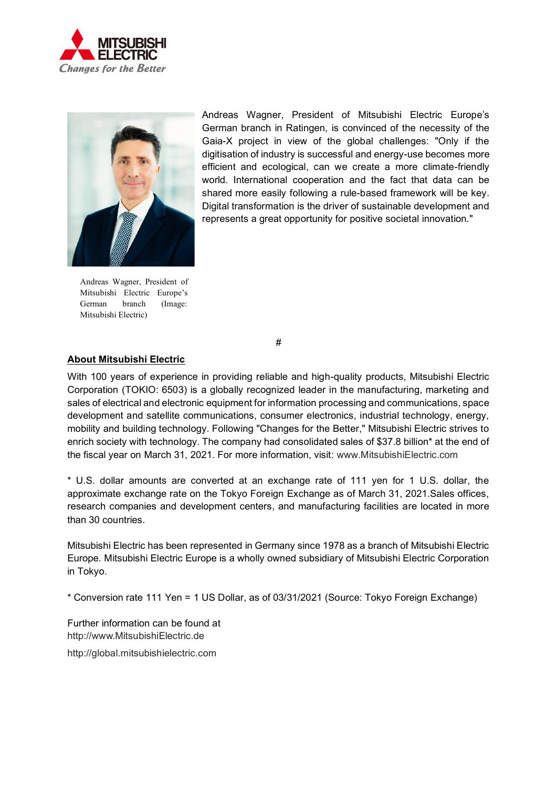



Andreas Wagner, President of Mitsubishi Electric Europe's German branch (Image: Mitsubishi Electric)

Andreas Wagner, President of Mitsubishi Electric Europe's German branch in Ratingen, is convinced of the necessity of the Gaia-X project in view of the global challenges: "Only if the digitisation of industry is successful and energy-use becomes more efficient and ecological, can we create a more climate-friendly world. International cooperation and the fact that data can be shared more easily following a rule-based framework will be key. Digital transformation is the driver of sustainable development and represents a great opportunity for positive societal innovation."

#

## **About Mitsubishi Electric**

With 100 years of experience in providing reliable and high-quality products, Mitsubishi Electric Corporation (TOKIO: 6503) is a globally recognized leader in the manufacturing, marketing and sales of electrical and electronic equipment for information processing and communications, space development and satellite communications, consumer electronics, industrial technology, energy, mobility and building technology. Following "Changes for the Better," Mitsubishi Electric strives to enrich society with technology. The company had consolidated sales of \$37.8 billion\* at the end of the fiscal year on March 31, 2021. For more information, visit: [www.MitsubishiElectric.com](http://www.mitsubishielectric.com/)

\* U.S. dollar amounts are converted at an exchange rate of 111 yen for 1 U.S. dollar, the approximate exchange rate on the Tokyo Foreign Exchange as of March 31, 2021.Sales offices, research companies and development centers, and manufacturing facilities are located in more than 30 countries.

Mitsubishi Electric has been represented in Germany since 1978 as a branch of Mitsubishi Electric Europe. Mitsubishi Electric Europe is a wholly owned subsidiary of Mitsubishi Electric Corporation in Tokyo.

\* Conversion rate 111 Yen = 1 US Dollar, as of 03/31/2021 (Source: Tokyo Foreign Exchange)

Further information can be found at [http://www.MitsubishiElectric.de](http://www.mitsubishielectric.de/)

[http://global.mitsubishielectric.com](http://global.mitsubishielectric.com/)